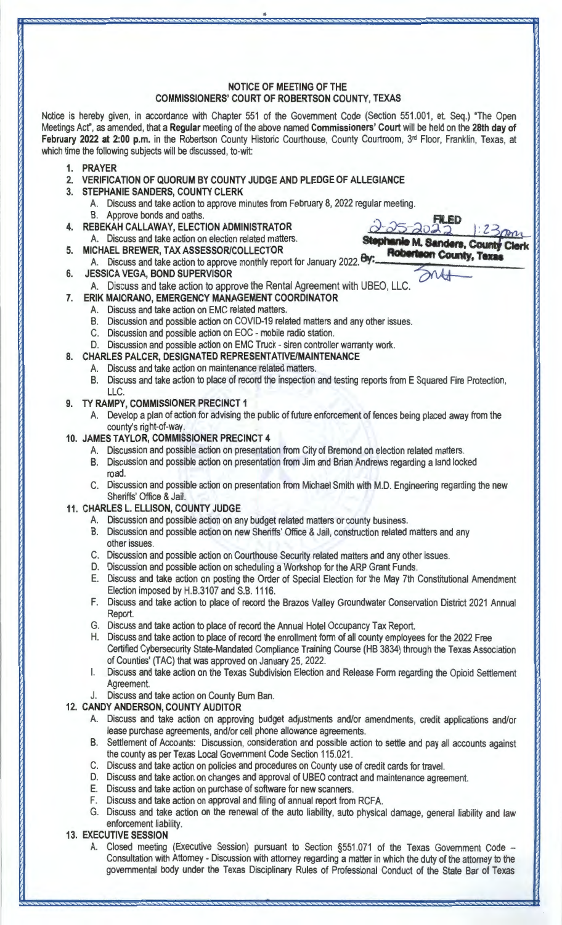# **NOTICE OF MEETING OF THE COMMISSIONERS' COURT OF ROBERTSON COUNTY, TEXAS**

Notice is hereby given, in accordance with Chapter 551 of the Government Code (Section 551.001, et. Seq.) "The Open Meetings Act", as amended, that a **Regular** meeting of the above named **Commissioners' Court** will be held on the **28th day of**  February 2022 at 2:00 p.m. in the Robertson County Historic Courthouse, County Courtroom, 3<sup>rd</sup> Floor, Franklin, Texas, at which time the following subjects will be discussed, to-wit:

- **1. PRAYER**
- **2. VERIFICATION OF QUORUM BY COUNTY JUDGE AND PLEDGE OF ALLEGIANCE**
- **3. STEPHANIE SANDERS, COUNTY CLERK** 
	- A. Discuss and take action to approve minutes from February 8, 2022 regular meeting. B. Approve bonds and oaths. on election related matters.<br>
	STION ADMINISTRATOR<br>
	on election related matters.<br>
	Stophanic M. Sande
- **4. REBEKAH CALLAWAY, ELECTION ADMINISTRATOR** 
	- A. Discuss and take action
- **5. MICHAEL BREWER, TAX ASSESSOR/COLLECTOR**  A. Discuss and take action to approve monthly report for January 2022.
- **6. JESSICA VEGA, BOND SUPERVISOR**

A. Discuss and take action to approve the Rental Agreement with UBEO, LLC.

- **7. ERIK MAIORANO, EMERGENCY MANAGEMENT COORDINATOR** 
	- A. Discuss and take action on EMC related matters.
	- B. Discussion and possible action on COVID-19 related matters and any other issues.
	- C. Discussion and possible action on EOC mobile radio station.
	- D. Discussion and possible action on EMC Truck siren controller warranty work.
- **8. CHARLES PALCER, DESIGNATED REPRESENTATIVE/MAINTENANCE** 
	- A. Discuss and take action on maintenance related matters.
	- B. Discuss and take action to place of record the inspection and testing reports from **E** Squared Fire Protection, LLC.

**Minie M. Sanders, County (**<br>**Robertson County, Texas anie M. Sanders, County** 

- **9. TY RAMPY, COMMISSIONER PRECINCT 1** 
	- A. Develop a plan of action for advising the public of future enforcement of fences being placed away from the county's right-of-way.
- **10. JAMES TAYLOR, COMMISSIONER PRECINCT 4** 
	- A. Discussion and possible action on presentation from City of Bremond on election related matters.
	- B. Discussion and possible action on presentation from Jim and Brian Andrews regarding a land locked road.
	- C. Discussion and possible action on presentation from Michael Smith with M.D. Engineering regarding the new Sheriffs' Office & Jail.
- **11. CHARLES L. ELLISON, COUNTY JUDGE** 
	- A. Discussion and possible action on any budget related matters or county business.
	- B. Discussion and possible action on new Sheriffs' Office & Jail, construction related matters and any other issues.
	- C. Discussion and possible action on Courthouse Security related matters and any other issues.
	- D. Discussion and possible action on scheduling a Workshop for the ARP Grant Funds.
	- E. Discuss and take action on posting the Order of Special Election for the May 7th Constitutional Amendment Election imposed by H.B.3107 and S.B. 1116.
	- F. Discuss and take action to place of record the Brazos Valley Groundwater Conservation District 2021 Annual Report.
	- G. Discuss and take action to place of record the Annual Hotel Occupancy Tax Report.
	- H. Discuss and take action to place of record the enrollment form of all county employees for the 2022 Free Certified Cybersecurity State-Mandated Compliance Training Course (HB 3834) through the Texas Association of Counties' (TAC) that was approved on January 25, 2022.
	- I. Discuss and take action on the Texas Subdivision Election and Release Form regarding the Opioid Settlement Agreement.

# J. Discuss and take action on County Bum Ban.

- **12. CANDY ANDERSON, COUNTY AUDITOR** 
	- A. Discuss and take action on approving budget adjustments and/or amendments, credit applications and/or lease purchase agreements, and/or cell phone allowance agreements.
	- B. Settlement of Accounts: Discussion, consideration and possible action to settle and pay all accounts against the county as per Texas Local Government Code Section 115.021.
	- C. Discuss and take action on policies and procedures on County use of credit cards for travel.
	- D. Discuss and take action on changes and approval of UBEO contract and maintenance agreement.
	- E. Discuss and take action on purchase of software for new scanners.
	- **F.** Discuss and take action on approval and filing of annual report from RCFA.
	- G. Discuss and take action on the renewal of the auto liability, auto physical damage, general liability and law enforcement liability.

# **13. EXECUTIVE SESSION**

A. Closed meeting (Executive Session) pursuant to Section §551.071 of the Texas Government Code -Consultation with Attorney - Discussion with attorney regarding a matter in which the duty of the attorney to the governmental body under the Texas Disciplinary Rules of Professional Conduct of the State Bar of Texas